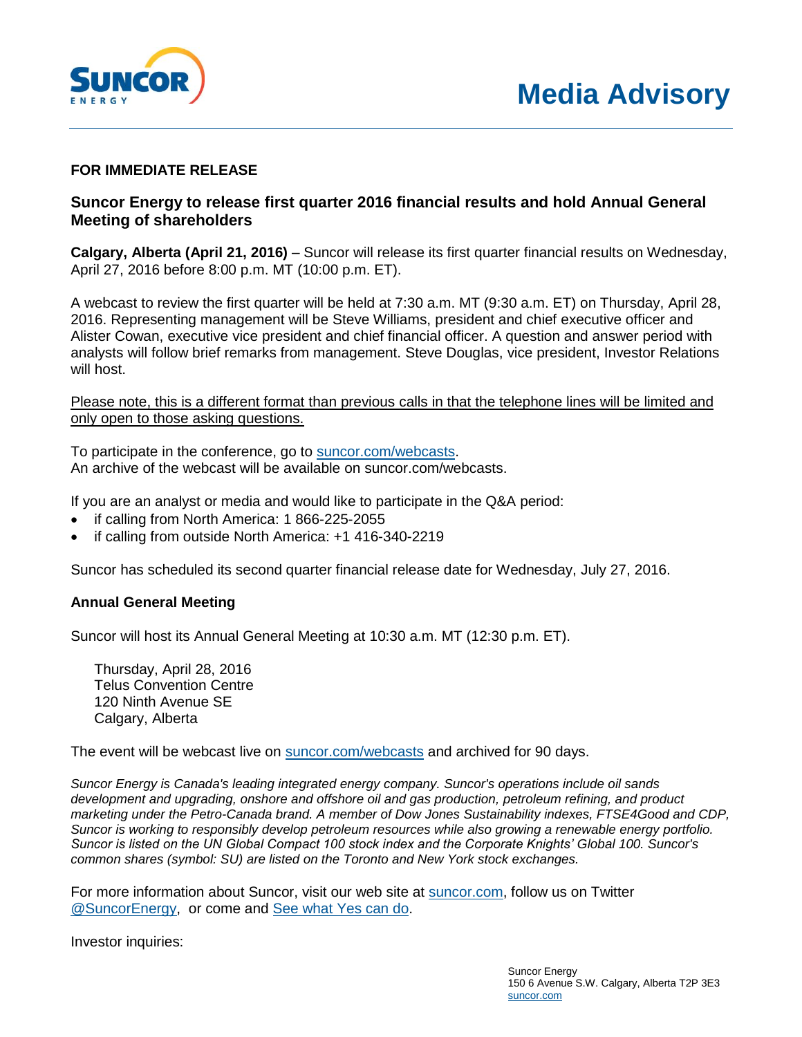

## **FOR IMMEDIATE RELEASE**

## **Suncor Energy to release first quarter 2016 financial results and hold Annual General Meeting of shareholders**

**Calgary, Alberta (April 21, 2016)** – Suncor will release its first quarter financial results on Wednesday, April 27, 2016 before 8:00 p.m. MT (10:00 p.m. ET).

A webcast to review the first quarter will be held at 7:30 a.m. MT (9:30 a.m. ET) on Thursday, April 28, 2016. Representing management will be Steve Williams, president and chief executive officer and Alister Cowan, executive vice president and chief financial officer. A question and answer period with analysts will follow brief remarks from management. Steve Douglas, vice president, Investor Relations will host.

Please note, this is a different format than previous calls in that the telephone lines will be limited and only open to those asking questions.

To participate in the conference, go to [suncor.com/webcasts.](http://www.suncor.com/webcasts) An archive of the webcast will be available on suncor.com/webcasts.

If you are an analyst or media and would like to participate in the Q&A period:

- if calling from North America: 1 866-225-2055
- if calling from outside North America: +1 416-340-2219

Suncor has scheduled its second quarter financial release date for Wednesday, July 27, 2016.

## **Annual General Meeting**

Suncor will host its Annual General Meeting at 10:30 a.m. MT (12:30 p.m. ET).

Thursday, April 28, 2016 Telus Convention Centre 120 Ninth Avenue SE Calgary, Alberta

The event will be webcast live on [suncor.com/webcasts](http://www.suncor.com/webcasts) and archived for 90 days.

*Suncor Energy is Canada's leading integrated energy company. Suncor's operations include oil sands development and upgrading, onshore and offshore oil and gas production, petroleum refining, and product marketing under the Petro-Canada brand. A member of Dow Jones Sustainability indexes, FTSE4Good and CDP, Suncor is working to responsibly develop petroleum resources while also growing a renewable energy portfolio. Suncor is listed on the UN Global Compact 100 stock index and the Corporate Knights' Global 100. Suncor's common shares (symbol: SU) are listed on the Toronto and New York stock exchanges.*

For more information about Suncor, visit our web site at [suncor.com,](http://www.suncor.com/) follow us on Twitter [@SuncorEnergy,](http://twitter.com/suncorenergy) or come and [See what Yes can do.](http://whatyescando.com/?linkid=hbanner2-yescampaign&__utma=239407105.64836943.1387817511.1393361432.1393458659.38&__utmb=239407105.12.10.1393458659&__utmc=239407105&__utmx=-&__utmz=239407105.1389105211.5.2.utmcsr=energy.techno-science.ca|utmccn=(referral)|utmcmd=referral|utmcct=/en/sponsors.php&__utmv=-&__utmk=151999994#see-what-yes-can-do)

Investor inquiries: